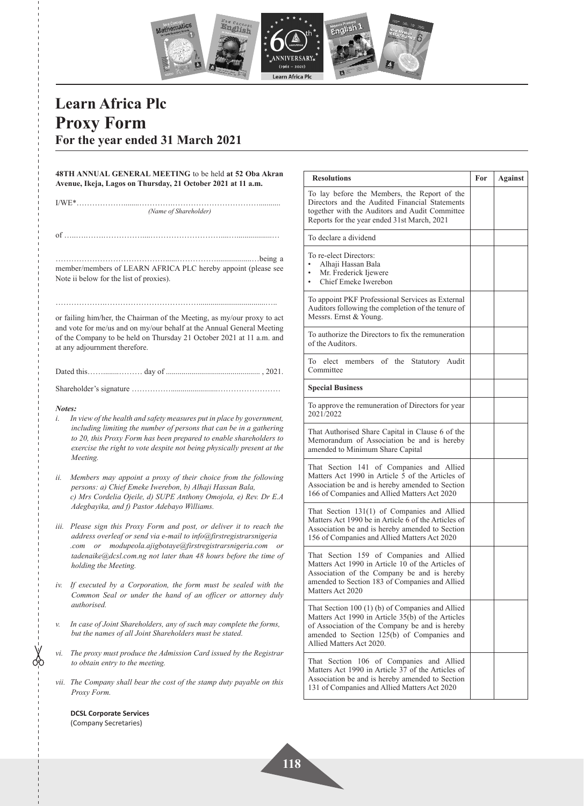

**For** Against

## **Learn Africa Plc Proxy Form For the year ended 31 March 2021**

 $\frac{1}{\sqrt{2}}$ 

|                                                                                                                                                                                                                                                           | 48TH ANNUAL GENERAL MEETING to be held at 52 Oba Akran<br>Avenue, Ikeja, Lagos on Thursday, 21 October 2021 at 11 a.m.                                                                                                                                                                                   | <b>Resolutions</b>                                                                                                                                                                                                                |  |
|-----------------------------------------------------------------------------------------------------------------------------------------------------------------------------------------------------------------------------------------------------------|----------------------------------------------------------------------------------------------------------------------------------------------------------------------------------------------------------------------------------------------------------------------------------------------------------|-----------------------------------------------------------------------------------------------------------------------------------------------------------------------------------------------------------------------------------|--|
|                                                                                                                                                                                                                                                           | (Name of Shareholder)                                                                                                                                                                                                                                                                                    | To lay before the Members, the Report of the<br>Directors and the Audited Financial Statements<br>together with the Auditors and Audit Committee<br>Reports for the year ended 31st March, 2021                                   |  |
|                                                                                                                                                                                                                                                           |                                                                                                                                                                                                                                                                                                          | To declare a dividend                                                                                                                                                                                                             |  |
|                                                                                                                                                                                                                                                           | member/members of LEARN AFRICA PLC hereby appoint (please see<br>Note ii below for the list of proxies).                                                                                                                                                                                                 | To re-elect Directors:<br>$\bullet$<br>Alhaji Hassan Bala<br>Mr. Frederick Ijewere<br>$\bullet$<br>Chief Emeke Iwerebon<br>$\bullet$                                                                                              |  |
| or failing him/her, the Chairman of the Meeting, as my/our proxy to act<br>and vote for me/us and on my/our behalf at the Annual General Meeting<br>of the Company to be held on Thursday 21 October 2021 at 11 a.m. and<br>at any adjournment therefore. |                                                                                                                                                                                                                                                                                                          | To appoint PKF Professional Services as External<br>Auditors following the completion of the tenure of<br>Messrs. Ernst & Young.                                                                                                  |  |
|                                                                                                                                                                                                                                                           |                                                                                                                                                                                                                                                                                                          | To authorize the Directors to fix the remuneration<br>of the Auditors.                                                                                                                                                            |  |
|                                                                                                                                                                                                                                                           |                                                                                                                                                                                                                                                                                                          | To elect members of the Statutory Audit<br>Committee                                                                                                                                                                              |  |
|                                                                                                                                                                                                                                                           |                                                                                                                                                                                                                                                                                                          | <b>Special Business</b>                                                                                                                                                                                                           |  |
| Notes:<br>i.                                                                                                                                                                                                                                              | In view of the health and safety measures put in place by government,<br>including limiting the number of persons that can be in a gathering<br>to 20, this Proxy Form has been prepared to enable shareholders to<br>exercise the right to vote despite not being physically present at the<br>Meeting. | To approve the remuneration of Directors for year<br>2021/2022                                                                                                                                                                    |  |
|                                                                                                                                                                                                                                                           |                                                                                                                                                                                                                                                                                                          | That Authorised Share Capital in Clause 6 of the<br>Memorandum of Association be and is hereby<br>amended to Minimum Share Capital                                                                                                |  |
| ii.                                                                                                                                                                                                                                                       | Members may appoint a proxy of their choice from the following<br>persons: a) Chief Emeke Iwerebon, b) Alhaji Hassan Bala,<br>c) Mrs Cordelia Ojeile, d) SUPE Anthony Omojola, e) Rev. Dr E.A                                                                                                            | That Section 141 of Companies and Allied<br>Matters Act 1990 in Article 5 of the Articles of<br>Association be and is hereby amended to Section<br>166 of Companies and Allied Matters Act 2020                                   |  |
|                                                                                                                                                                                                                                                           | Adegbayika, and f) Pastor Adebayo Williams.<br>iii. Please sign this Proxy Form and post, or deliver it to reach the<br>address overleaf or send via e-mail to info@firstregistrarsnigeria                                                                                                               | That Section 131(1) of Companies and Allied<br>Matters Act 1990 be in Article 6 of the Articles of<br>Association be and is hereby amended to Section<br>156 of Companies and Allied Matters Act 2020                             |  |
|                                                                                                                                                                                                                                                           | .com or modupeola.ajigbotaye@firstregistrarsnigeria.com or<br>tadenaike@dcsl.com.ng not later than 48 hours before the time of<br>holding the Meeting.                                                                                                                                                   | That Section 159 of Companies and Allied<br>Matters Act 1990 in Article 10 of the Articles of<br>Association of the Company be and is hereby                                                                                      |  |
| iν.                                                                                                                                                                                                                                                       | If executed by a Corporation, the form must be sealed with the<br>Common Seal or under the hand of an officer or attorney duly                                                                                                                                                                           | amended to Section 183 of Companies and Allied<br>Matters Act 2020                                                                                                                                                                |  |
| v.                                                                                                                                                                                                                                                        | authorised.<br>In case of Joint Shareholders, any of such may complete the forms,<br>but the names of all Joint Shareholders must be stated.                                                                                                                                                             | That Section 100 (1) (b) of Companies and Allied<br>Matters Act 1990 in Article 35(b) of the Articles<br>of Association of the Company be and is hereby<br>amended to Section 125(b) of Companies and<br>Allied Matters Act 2020. |  |
| vi.                                                                                                                                                                                                                                                       | The proxy must produce the Admission Card issued by the Registrar<br>to obtain entry to the meeting.                                                                                                                                                                                                     | That Section 106 of Companies and Allied<br>Matters Act 1990 in Article 37 of the Articles of<br>Association be and is hereby amended to Section<br>131 of Companies and Allied Matters Act 2020                                  |  |
|                                                                                                                                                                                                                                                           | vii. The Company shall bear the cost of the stamp duty payable on this                                                                                                                                                                                                                                   |                                                                                                                                                                                                                                   |  |